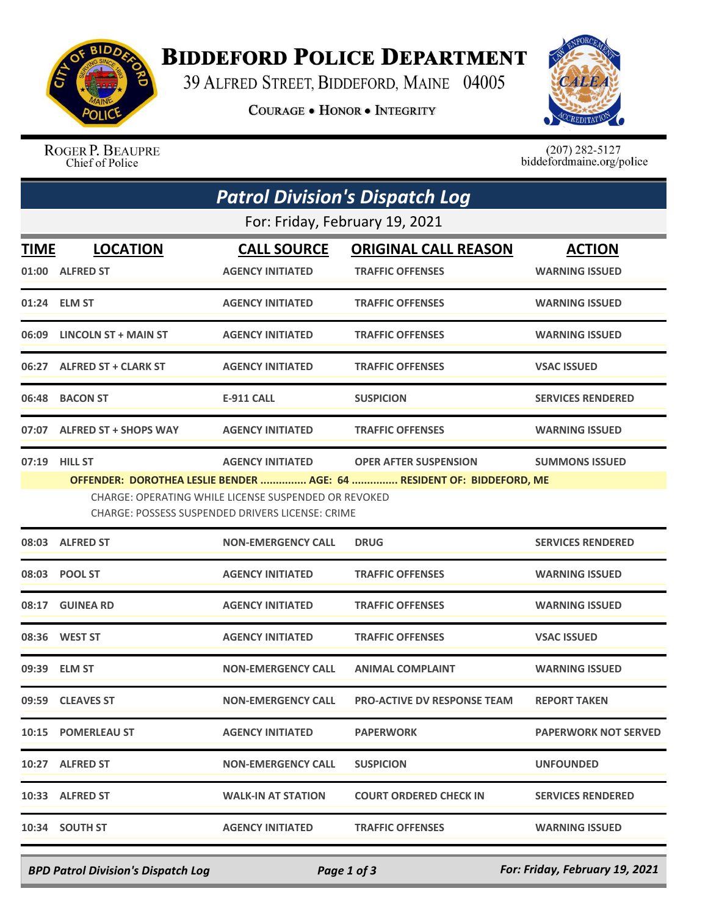

## **BIDDEFORD POLICE DEPARTMENT**

39 ALFRED STREET, BIDDEFORD, MAINE 04005

**COURAGE . HONOR . INTEGRITY** 



ROGER P. BEAUPRE Chief of Police

 $(207)$  282-5127<br>biddefordmaine.org/police

| <b>Patrol Division's Dispatch Log</b> |                                                                                                                                                                                                            |                           |                                    |                             |  |  |  |
|---------------------------------------|------------------------------------------------------------------------------------------------------------------------------------------------------------------------------------------------------------|---------------------------|------------------------------------|-----------------------------|--|--|--|
| For: Friday, February 19, 2021        |                                                                                                                                                                                                            |                           |                                    |                             |  |  |  |
| <b>TIME</b>                           | <b>LOCATION</b>                                                                                                                                                                                            | <b>CALL SOURCE</b>        | <b>ORIGINAL CALL REASON</b>        | <b>ACTION</b>               |  |  |  |
|                                       | 01:00 ALFRED ST                                                                                                                                                                                            | <b>AGENCY INITIATED</b>   | <b>TRAFFIC OFFENSES</b>            | <b>WARNING ISSUED</b>       |  |  |  |
|                                       | 01:24 ELM ST                                                                                                                                                                                               | <b>AGENCY INITIATED</b>   | <b>TRAFFIC OFFENSES</b>            | <b>WARNING ISSUED</b>       |  |  |  |
|                                       | 06:09 LINCOLN ST + MAIN ST                                                                                                                                                                                 | <b>AGENCY INITIATED</b>   | <b>TRAFFIC OFFENSES</b>            | <b>WARNING ISSUED</b>       |  |  |  |
|                                       | 06:27 ALFRED ST + CLARK ST                                                                                                                                                                                 | <b>AGENCY INITIATED</b>   | <b>TRAFFIC OFFENSES</b>            | <b>VSAC ISSUED</b>          |  |  |  |
|                                       | 06:48 BACON ST                                                                                                                                                                                             | <b>E-911 CALL</b>         | <b>SUSPICION</b>                   | <b>SERVICES RENDERED</b>    |  |  |  |
|                                       | 07:07 ALFRED ST + SHOPS WAY                                                                                                                                                                                | <b>AGENCY INITIATED</b>   | <b>TRAFFIC OFFENSES</b>            | <b>WARNING ISSUED</b>       |  |  |  |
|                                       | 07:19 HILL ST                                                                                                                                                                                              | <b>AGENCY INITIATED</b>   | <b>OPER AFTER SUSPENSION</b>       | <b>SUMMONS ISSUED</b>       |  |  |  |
|                                       | CHARGE: OPERATING WHILE LICENSE SUSPENDED OR REVOKED<br><b>CHARGE: POSSESS SUSPENDED DRIVERS LICENSE: CRIME</b><br>08:03 ALFRED ST<br><b>NON-EMERGENCY CALL</b><br><b>DRUG</b><br><b>SERVICES RENDERED</b> |                           |                                    |                             |  |  |  |
|                                       | 08:03 POOL ST                                                                                                                                                                                              | <b>AGENCY INITIATED</b>   | <b>TRAFFIC OFFENSES</b>            | <b>WARNING ISSUED</b>       |  |  |  |
|                                       | 08:17 GUINEA RD                                                                                                                                                                                            | <b>AGENCY INITIATED</b>   | <b>TRAFFIC OFFENSES</b>            | <b>WARNING ISSUED</b>       |  |  |  |
|                                       | 08:36 WEST ST                                                                                                                                                                                              | <b>AGENCY INITIATED</b>   | <b>TRAFFIC OFFENSES</b>            | <b>VSAC ISSUED</b>          |  |  |  |
|                                       | 09:39 ELM ST                                                                                                                                                                                               | <b>NON-EMERGENCY CALL</b> | <b>ANIMAL COMPLAINT</b>            | <b>WARNING ISSUED</b>       |  |  |  |
|                                       | 09:59 CLEAVES ST                                                                                                                                                                                           | <b>NON-EMERGENCY CALL</b> | <b>PRO-ACTIVE DV RESPONSE TEAM</b> | <b>REPORT TAKEN</b>         |  |  |  |
|                                       | 10:15 POMERLEAU ST                                                                                                                                                                                         | <b>AGENCY INITIATED</b>   | <b>PAPERWORK</b>                   | <b>PAPERWORK NOT SERVED</b> |  |  |  |
|                                       | 10:27 ALFRED ST                                                                                                                                                                                            | <b>NON-EMERGENCY CALL</b> | <b>SUSPICION</b>                   | <b>UNFOUNDED</b>            |  |  |  |
|                                       | 10:33 ALFRED ST                                                                                                                                                                                            | <b>WALK-IN AT STATION</b> | <b>COURT ORDERED CHECK IN</b>      | <b>SERVICES RENDERED</b>    |  |  |  |
|                                       | 10:34 SOUTH ST                                                                                                                                                                                             | <b>AGENCY INITIATED</b>   | <b>TRAFFIC OFFENSES</b>            | <b>WARNING ISSUED</b>       |  |  |  |

*BPD Patrol Division's Dispatch Log Page 1 of 3 For: Friday, February 19, 2021*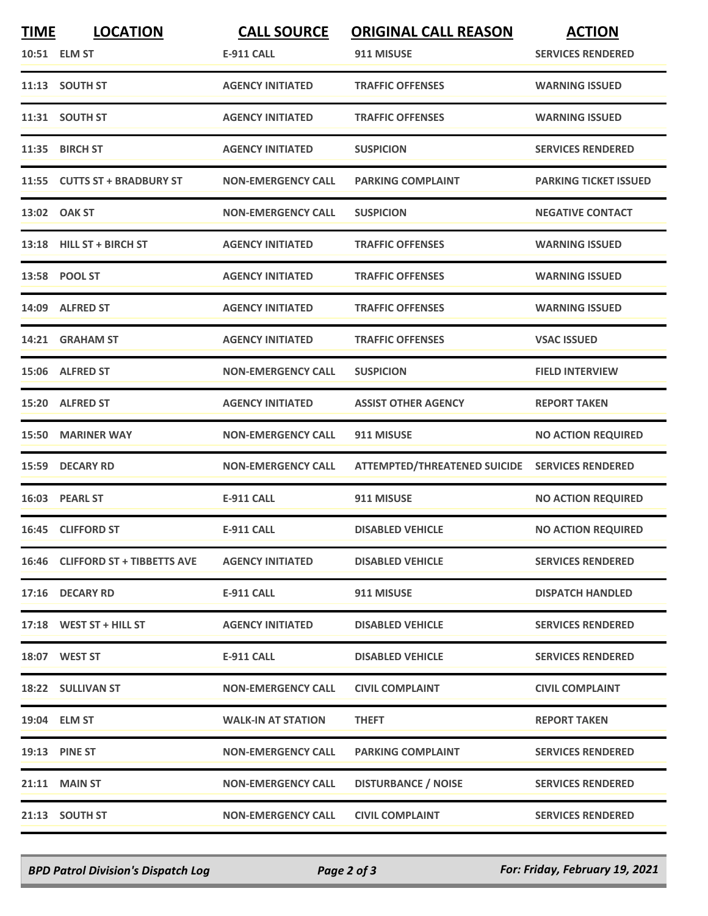| <b>TIME</b> | <b>LOCATION</b><br>10:51 ELM ST  | <b>CALL SOURCE</b><br><b>E-911 CALL</b> | <b>ORIGINAL CALL REASON</b><br>911 MISUSE      | <b>ACTION</b><br><b>SERVICES RENDERED</b> |
|-------------|----------------------------------|-----------------------------------------|------------------------------------------------|-------------------------------------------|
|             | 11:13 SOUTH ST                   | <b>AGENCY INITIATED</b>                 | <b>TRAFFIC OFFENSES</b>                        | <b>WARNING ISSUED</b>                     |
|             |                                  |                                         |                                                |                                           |
|             | 11:31 SOUTH ST                   | <b>AGENCY INITIATED</b>                 | <b>TRAFFIC OFFENSES</b>                        | <b>WARNING ISSUED</b>                     |
|             | 11:35 BIRCH ST                   | <b>AGENCY INITIATED</b>                 | <b>SUSPICION</b>                               | <b>SERVICES RENDERED</b>                  |
|             | 11:55 CUTTS ST + BRADBURY ST     | <b>NON-EMERGENCY CALL</b>               | <b>PARKING COMPLAINT</b>                       | <b>PARKING TICKET ISSUED</b>              |
|             | 13:02 OAK ST                     | <b>NON-EMERGENCY CALL</b>               | <b>SUSPICION</b>                               | <b>NEGATIVE CONTACT</b>                   |
|             | 13:18 HILL ST + BIRCH ST         | <b>AGENCY INITIATED</b>                 | <b>TRAFFIC OFFENSES</b>                        | <b>WARNING ISSUED</b>                     |
|             | 13:58 POOL ST                    | <b>AGENCY INITIATED</b>                 | <b>TRAFFIC OFFENSES</b>                        | <b>WARNING ISSUED</b>                     |
|             | 14:09 ALFRED ST                  | <b>AGENCY INITIATED</b>                 | <b>TRAFFIC OFFENSES</b>                        | <b>WARNING ISSUED</b>                     |
|             | 14:21 GRAHAM ST                  | <b>AGENCY INITIATED</b>                 | <b>TRAFFIC OFFENSES</b>                        | <b>VSAC ISSUED</b>                        |
|             | 15:06 ALFRED ST                  | <b>NON-EMERGENCY CALL</b>               | <b>SUSPICION</b>                               | <b>FIELD INTERVIEW</b>                    |
|             | 15:20 ALFRED ST                  | <b>AGENCY INITIATED</b>                 | <b>ASSIST OTHER AGENCY</b>                     | <b>REPORT TAKEN</b>                       |
|             | 15:50 MARINER WAY                | <b>NON-EMERGENCY CALL</b>               | 911 MISUSE                                     | <b>NO ACTION REQUIRED</b>                 |
| 15:59       | <b>DECARY RD</b>                 | <b>NON-EMERGENCY CALL</b>               | ATTEMPTED/THREATENED SUICIDE SERVICES RENDERED |                                           |
|             | 16:03 PEARL ST                   | <b>E-911 CALL</b>                       | 911 MISUSE                                     | <b>NO ACTION REQUIRED</b>                 |
|             | 16:45 CLIFFORD ST                | <b>E-911 CALL</b>                       | <b>DISABLED VEHICLE</b>                        | <b>NO ACTION REQUIRED</b>                 |
|             | 16:46 CLIFFORD ST + TIBBETTS AVE | <b>AGENCY INITIATED</b>                 | <b>DISABLED VEHICLE</b>                        | <b>SERVICES RENDERED</b>                  |
|             | 17:16 DECARY RD                  | E-911 CALL                              | 911 MISUSE                                     | <b>DISPATCH HANDLED</b>                   |
|             | 17:18 WEST ST + HILL ST          | <b>AGENCY INITIATED</b>                 | <b>DISABLED VEHICLE</b>                        | <b>SERVICES RENDERED</b>                  |
|             | 18:07 WEST ST                    | E-911 CALL                              | <b>DISABLED VEHICLE</b>                        | <b>SERVICES RENDERED</b>                  |
|             | 18:22 SULLIVAN ST                | <b>NON-EMERGENCY CALL</b>               | <b>CIVIL COMPLAINT</b>                         | <b>CIVIL COMPLAINT</b>                    |
|             | 19:04 ELM ST                     | <b>WALK-IN AT STATION</b>               | <b>THEFT</b>                                   | <b>REPORT TAKEN</b>                       |
|             | 19:13 PINE ST                    | <b>NON-EMERGENCY CALL</b>               | <b>PARKING COMPLAINT</b>                       | <b>SERVICES RENDERED</b>                  |
|             | 21:11 MAIN ST                    | <b>NON-EMERGENCY CALL</b>               | <b>DISTURBANCE / NOISE</b>                     | <b>SERVICES RENDERED</b>                  |
|             | 21:13 SOUTH ST                   | <b>NON-EMERGENCY CALL</b>               | <b>CIVIL COMPLAINT</b>                         | <b>SERVICES RENDERED</b>                  |

*BPD Patrol Division's Dispatch Log Page 2 of 3 For: Friday, February 19, 2021*